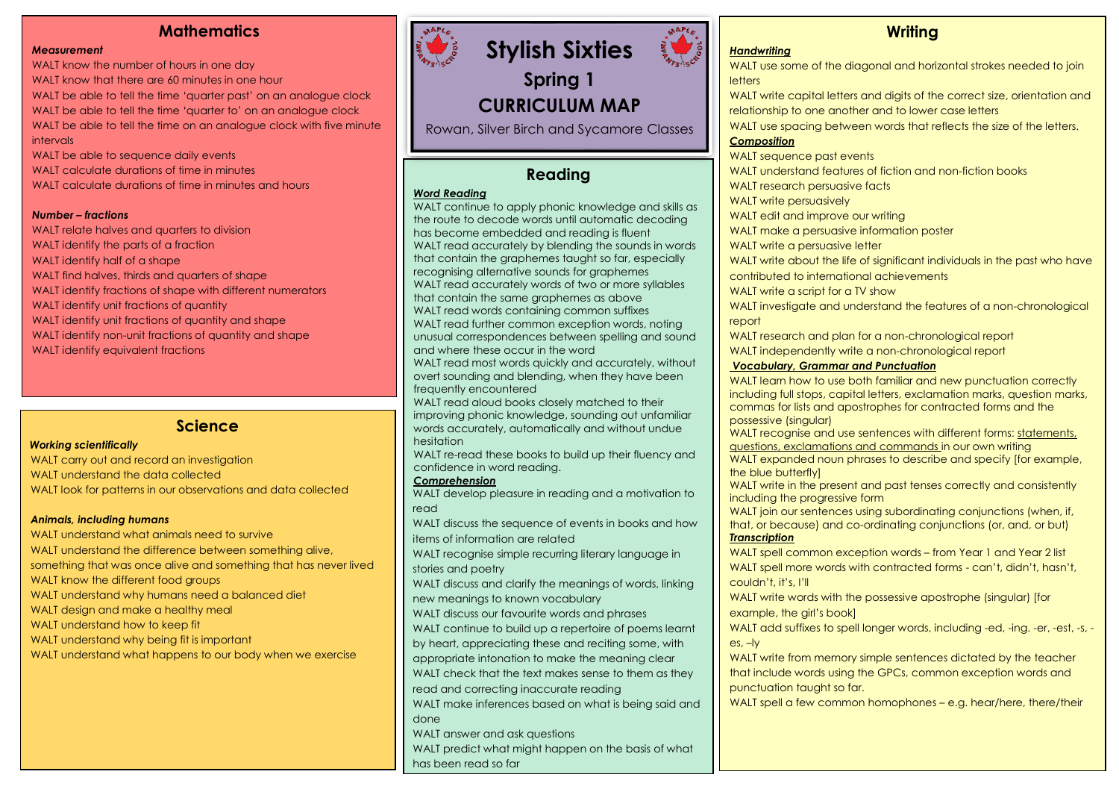# **Mathematics**

#### *Measurement*

WALT know the number of hours in one day

WALT know that there are 60 minutes in one hour

WALT be able to tell the time 'quarter past' on an analogue clock WALT be able to tell the time 'quarter to' on an analogue clock WALT be able to tell the time on an analogue clock with five minute intervals

- WALT be able to sequence daily events
- WALT calculate durations of time in minutes

WALT calculate durations of time in minutes and hours

#### *Number – fractions*

WALT relate halves and quarters to division WALT identify the parts of a fraction WALT identify half of a shape WALT find halves, thirds and quarters of shape WALT identify fractions of shape with different numerators WALT identify unit fractions of quantity WALT identify unit fractions of quantity and shape WALT identify non-unit fractions of quantity and shape WALT identify equivalent fractions

## **Science**

#### *Working scientifically*

WALT carry out and record an investigation WALT understand the data collected WALT look for patterns in our observations and data collected

#### *Animals, including humans*

WALT understand what animals need to survive WALT understand the difference between something alive, something that was once alive and something that has never lived WALT know the different food groups WALT understand why humans need a balanced diet WALT design and make a healthy meal WALT understand how to keep fit WALT understand why being fit is important WALT understand what happens to our body when we exercise



**Spring 1 CURRICULUM MAP**

Rowan, Silver Birch and Sycamore Classes

# **Reading**

#### *Word Reading*

WALT continue to apply phonic knowledge and skills as the route to decode words until automatic decoding has become embedded and reading is fluent WALT read accurately by blending the sounds in words that contain the graphemes taught so far, especially recognising alternative sounds for graphemes WALT read accurately words of two or more syllables that contain the same graphemes as above WALT read words containing common suffixes WALT read further common exception words, noting unusual correspondences between spelling and sound and where these occur in the word WALT read most words quickly and accurately, without overt sounding and blending, when they have been frequently encountered WALT read aloud books closely matched to their improving phonic knowledge, sounding out unfamiliar words accurately, automatically and without undue hesitation WALT re-read these books to build up their fluency and confidence in word reading. *Comprehension* WALT develop pleasure in reading and a motivation to read WALT discuss the sequence of events in books and how items of information are related WALT recognise simple recurring literary language in stories and poetry WALT discuss and clarify the meanings of words, linking new meanings to known vocabulary WALT discuss our favourite words and phrases WALT continue to build up a repertoire of poems learnt by heart, appreciating these and reciting some, with appropriate intonation to make the meaning clear WALT check that the text makes sense to them as they read and correcting inaccurate reading WALT make inferences based on what is being said and done WALT answer and ask questions

WALT predict what might happen on the basis of what has been read so far

# **Writing**

## *Handwriting*

WALT use some of the diagonal and horizontal strokes needed to join **letters** WALT write capital letters and digits of the correct size, orientation and relationship to one another and to lower case letters WALT use spacing between words that reflects the size of the letters. *Composition* WALT sequence past events WALT understand features of fiction and non-fiction books WALT research persuasive facts WALT write persuasively WALT edit and improve our writing WALT make a persuasive information poster WALT write a persuasive letter WALT write about the life of significant individuals in the past who have contributed to international achievements WALT write a script for a TV show WALT investigate and understand the features of a non-chronological report WALT research and plan for a non-chronological report WALT independently write a non-chronological report *Vocabulary, Grammar and Punctuation*  WALT learn how to use both familiar and new punctuation correctly including full stops, capital letters, exclamation marks, question marks, commas for lists and apostrophes for contracted forms and the possessive (singular) WALT recognise and use sentences with different forms: statements, questions, exclamations and commands in our own writing WALT expanded noun phrases to describe and specify [for example, the blue butterfly] WALT write in the present and past tenses correctly and consistently including the progressive form WALT join our sentences using subordinating conjunctions (when, if, that, or because) and co-ordinating conjunctions (or, and, or but) *Transcription*

WALT spell common exception words – from Year 1 and Year 2 list WALT spell more words with contracted forms - can't, didn't, hasn't, couldn't, it's, I'll

WALT write words with the possessive apostrophe (singular) [for example, the girl's book]

WALT add suffixes to spell longer words, including -ed, -ing. -er, -est, -s, es, –ly

WALT write from memory simple sentences dictated by the teacher that include words using the GPCs, common exception words and punctuation taught so far.

WALT spell a few common homophones – e.g. hear/here, there/their